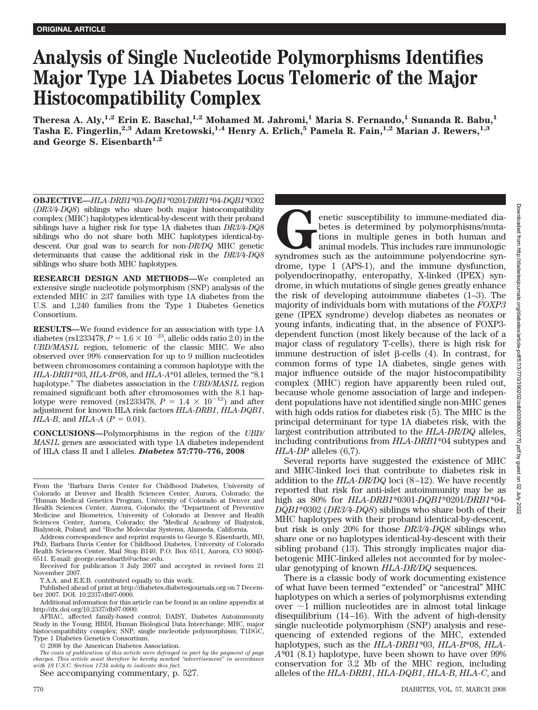# **Analysis of Single Nucleotide Polymorphisms Identifies Major Type 1A Diabetes Locus Telomeric of the Major Histocompatibility Complex**

**Theresa A. Aly,1,2 Erin E. Baschal,1,2 Mohamed M. Jahromi,1 Maria S. Fernando,1 Sunanda R. Babu,1 Tasha E. Fingerlin,2,3 Adam Kretowski,1,4 Henry A. Erlich,5 Pamela R. Fain,1,2 Marian J. Rewers,1,3** and George S. Eisenbarth<sup>1,2</sup>

**OBJECTIVE—***HLA-DRB1\**03*-DQB1\**0201*/DRB1\**04*-DQB1\**0302 (*DR3/4-DQ8*) siblings who share both major histocompatibility complex (MHC) haplotypes identical-by-descent with their proband siblings have a higher risk for type 1A diabetes than *DR3/4-DQ8* siblings who do not share both MHC haplotypes identical-bydescent. Our goal was to search for non*-DR/DQ* MHC genetic determinants that cause the additional risk in the *DR3/4-DQ8* siblings who share both MHC haplotypes.

**RESEARCH DESIGN AND METHODS—**We completed an extensive single nucleotide polymorphism (SNP) analysis of the extended MHC in 237 families with type 1A diabetes from the U.S. and 1,240 families from the Type 1 Diabetes Genetics Consortium.

**RESULTS—**We found evidence for an association with type 1A diabetes (rs1233478,  $P = 1.6 \times 10^{-23}$ , allelic odds ratio 2.0) in the *UBD/MAS1L* region, telomeric of the classic MHC. We also observed over 99% conservation for up to 9 million nucleotides between chromosomes containing a common haplotype with the *HLA-DRB1*\*03, *HLA-B*\*08, and *HLA-A*\*01 alleles, termed the "8.1 haplotype." The diabetes association in the *UBD/MAS1L* region remained significant both after chromosomes with the 8.1 haplotype were removed (rs1233478,  $P = 1.4 \times 10^{-12}$ ) and after adjustment for known HLA risk factors *HLA-DRB1*, *HLA-DQB1*, *HLA-B*, and *HLA-A* ( $P = 0.01$ ).

**CONCLUSIONS—**Polymorphisms in the region of the *UBD/ MAS1L* genes are associated with type 1A diabetes independent of HLA class II and I alleles. *Diabetes* **57:770–776, 2008**

From the <sup>1</sup>Barbara Davis Center for Childhood Diabetes, University of Colorado at Denver and Health Sciences Center, Aurora, Colorado; the 2 Human Medical Genetics Program, University of Colorado at Denver and Health Sciences Center, Aurora, Colorado; the <sup>3</sup>Department of Preventive Medicine and Biometrics, University of Colorado at Denver and Health Sciences Center, Aurora, Colorado; the <sup>4</sup> Medical Academy of Bialystok, Bialystok, Poland; and <sup>5</sup>Roche Molecular Systems, Alameda, California.

Address correspondence and reprint requests to George S. Eisenbarth, MD, PhD, Barbara Davis Center for Childhood Diabetes, University of Colorado Health Sciences Center, Mail Stop B140, P.O. Box 6511, Aurora, CO 80045- 6511. E-mail: george.eisenbarth@uchsc.edu.

Received for publication 3 July 2007 and accepted in revised form 21 November 2007.

T.A.A. and E.E.B. contributed equally to this work.

Published ahead of print at http://diabetes.diabetesjournals.org on 7 December 2007. DOI: 10.2337/db07-0900.

Additional information for this article can be found in an online appendix at http://dx.doi.org/10.2337/db07-0900.

AFBAC, affected family-based control; DAISY, Diabetes Autoimmunity Study in the Young; HBDI, Human Biological Data Interchange; MHC, major histocompatibility complex; SNP, single nucleotide polymorphism; T1DGC, Type 1 Diabetes Genetics Consortium.

© 2008 by the American Diabetes Association.

*The costs of publication of this article were defrayed in part by the payment of page charges. This article must therefore be hereby marked "advertisement" in accordance with 18 U.S.C. Section 1734 solely to indicate this fact.*

See accompanying commentary, p. 527.

**GENET ENERGY ENDERENT SURFACE SUSCEPTION** of the set of the set of the autoimmune polyendocrine syndromes such as the autoimmune polyendocrine synbetes is determined by polymorphisms/mutations in multiple genes in both human and animal models. This includes rare immunologic drome, type 1 (APS-1), and the immune dysfunction, polyendocrinopathy, enteropathy, X-linked (IPEX) syndrome, in which mutations of single genes greatly enhance the risk of developing autoimmune diabetes (1–3). The majority of individuals born with mutations of the *FOXP3* gene (IPEX syndrome) develop diabetes as neonates or young infants, indicating that, in the absence of FOXP3 dependent function (most likely because of the lack of a major class of regulatory T-cells), there is high risk for immune destruction of islet  $\beta$ -cells (4). In contrast, for common forms of type 1A diabetes, single genes with major influence outside of the major histocompatibility complex (MHC) region have apparently been ruled out, because whole genome association of large and independent populations have not identified single non-MHC genes with high odds ratios for diabetes risk (5). The MHC is the principal determinant for type 1A diabetes risk, with the largest contribution attributed to the *HLA-DR/DQ* alleles, including contributions from *HLA-DRB1*\*04 subtypes and *HLA-DP* alleles (6,7).

Several reports have suggested the existence of MHC and MHC-linked loci that contribute to diabetes risk in addition to the *HLA-DR/DQ* loci (8–12). We have recently reported that risk for anti-islet autoimmunity may be as high as 80% for *HLA-DRB1*\*0301-*DQB1*\*0201/*DRB1*\*04- *DQB1*\*0302 (*DR3/4-DQ8*) siblings who share both of their MHC haplotypes with their proband identical-by-descent, but risk is only 20% for those *DR3/4-DQ8* siblings who share one or no haplotypes identical-by-descent with their sibling proband (13). This strongly implicates major diabetogenic MHC-linked alleles not accounted for by molecular genotyping of known *HLA-DR/DQ* sequences.

There is a classic body of work documenting existence of what have been termed "extended" or "ancestral" MHC haplotypes on which a series of polymorphisms extending over  $\sim$ 1 million nucleotides are in almost total linkage disequilibrium (14–16). With the advent of high-density single nucleotide polymorphism (SNP) analysis and resequencing of extended regions of the MHC, extended haplotypes, such as the *HLA-DRB1\**03, *HLA-B*\*08, *HLA-A\**01 (8.1) haplotype, have been shown to have over 99% conservation for 3.2 Mb of the MHC region, including alleles of the *HLA-DRB1*, *HLA-DQB1*, *HLA-B*, *HLA-C*, and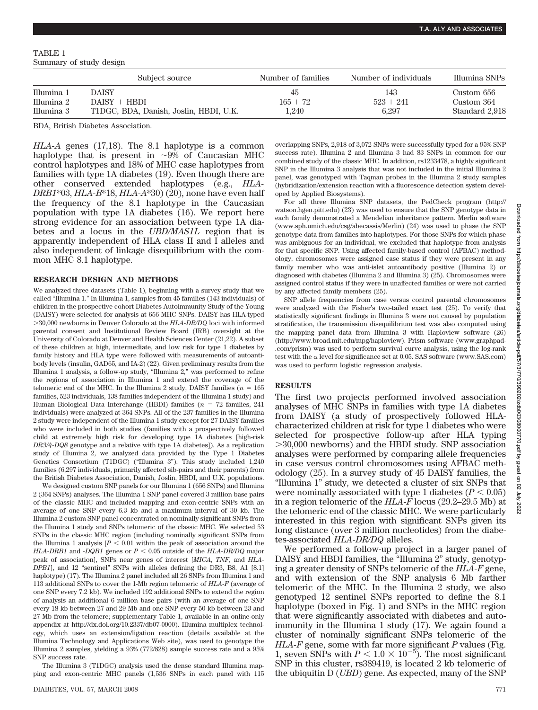TABLE 1 Summary of study design

|            | Subject source                         | Number of families | Number of individuals | Illumina SNPs  |  |
|------------|----------------------------------------|--------------------|-----------------------|----------------|--|
| Illumina 1 | <b>DAISY</b>                           | 45                 | 143                   | Custom 656     |  |
| Illumina 2 | $DAISY + HBDI$                         | $165 + 72$         | $523 + 241$           | Custom 364     |  |
| Illumina 3 | T1DGC, BDA, Danish, Joslin, HBDI, U.K. | 1,240              | 6.297                 | Standard 2.918 |  |

BDA, British Diabetes Association.

*HLA-A* genes (17,18). The 8.1 haplotype is a common haplotype that is present in  $\sim 9\%$  of Caucasian MHC control haplotypes and 18% of MHC case haplotypes from families with type 1A diabetes (19). Even though there are other conserved extended haplotypes (e.g., *HLA-DRB1*\*03, *HLA-B*\*18, *HLA-A*\*30) (20), none have even half the frequency of the 8.1 haplotype in the Caucasian population with type 1A diabetes (16). We report here strong evidence for an association between type 1A diabetes and a locus in the *UBD/MAS1L* region that is apparently independent of HLA class II and I alleles and also independent of linkage disequilibrium with the common MHC 8.1 haplotype.

#### **RESEARCH DESIGN AND METHODS**

We analyzed three datasets (Table 1), beginning with a survey study that we called "Illumina 1." In Illumina 1, samples from 45 families (143 individuals) of children in the prospective cohort Diabetes Autoimmunity Study of the Young (DAISY) were selected for analysis at 656 MHC SNPs. DAISY has HLA-typed 30,000 newborns in Denver Colorado at the *HLA-DR/DQ* loci with informed parental consent and Institutional Review Board (IRB) oversight at the University of Colorado at Denver and Health Sciences Center (21,22). A subset of these children at high, intermediate, and low risk for type 1 diabetes by family history and HLA type were followed with measurements of autoantibody levels (insulin, GAD65, and IA-2) (22). Given preliminary results from the Illumina 1 analysis, a follow-up study, "Illumina 2," was performed to refine the regions of association in Illumina 1 and extend the coverage of the telomeric end of the MHC. In the Illumina 2 study, DAISY families ( $n = 165$ ) families, 523 individuals, 138 families independent of the Illumina 1 study) and Human Biological Data Interchange (HBDI) families ( $n = 72$  families, 241 individuals) were analyzed at 364 SNPs. All of the 237 families in the Illumina 2 study were independent of the Illumina 1 study except for 27 DAISY families who were included in both studies (families with a prospectively followed child at extremely high risk for developing type 1A diabetes [high-risk *DR3/4-DQ8* genotype and a relative with type 1A diabetes]). As a replication study of Illumina 2, we analyzed data provided by the Type 1 Diabetes Genetics Consortium (T1DGC) ("Illumina 3"). This study included 1,240 families (6,297 individuals, primarily affected sib-pairs and their parents) from the British Diabetes Association, Danish, Joslin, HBDI, and U.K. populations.

We designed custom SNP panels for our Illumina 1 (656 SNPs) and Illumina 2 (364 SNPs) analyses. The Illumina 1 SNP panel covered 3 million base pairs of the classic MHC and included mapping and exon-centric SNPs with an average of one SNP every 6.3 kb and a maximum interval of 30 kb. The Illumina 2 custom SNP panel concentrated on nominally significant SNPs from the Illumina 1 study and SNPs telomeric of the classic MHC. We selected 53 SNPs in the classic MHC region (including nominally significant SNPs from the Illumina 1 analysis  $[P \leq 0.01]$  within the peak of association around the *HLA-DRB1* and *-DQB1* genes or  $P < 0.05$  outside of the *HLA-DR/DQ* major peak of association], SNPs near genes of interest [*MICA*, *TNF*, and *HLA-DPB1*], and 12 "sentinel" SNPs with alleles defining the DR3, B8, A1 [8.1] haplotype) (17). The Illumina 2 panel included all 26 SNPs from Illumina 1 and 113 additional SNPs to cover the 1-Mb region telomeric of *HLA-F* (average of one SNP every 7.2 kb). We included 192 additional SNPs to extend the region of analysis an additional 6 million base pairs (with an average of one SNP every 18 kb between 27 and 29 Mb and one SNP every 50 kb between 23 and 27 Mb from the telomere; supplementary Table 1, available in an online-only appendix at http://dx.doi.org/10.2337/db07-0900). Illumina multiplex technology, which uses an extension/ligation reaction (details available at the Illumina Technology and Applications Web site), was used to genotype the Illumina 2 samples, yielding a 93% (772/828) sample success rate and a 95% SNP success rate.

The Illumina 3 (T1DGC) analysis used the dense standard Illumina mapping and exon-centric MHC panels (1,536 SNPs in each panel with 115 overlapping SNPs, 2,918 of 3,072 SNPs were successfully typed for a 95% SNP success rate). Illumina 2 and Illumina 3 had 83 SNPs in common for our combined study of the classic MHC. In addition, rs1233478, a highly significant SNP in the Illumina 3 analysis that was not included in the initial Illumina 2 panel, was genotyped with Taqman probes in the Illumina 2 study samples (hybridization/extension reaction with a fluorescence detection system developed by Applied Biosystems).

For all three Illumina SNP datasets, the PedCheck program (http:// watson.hgen.pitt.edu) (23) was used to ensure that the SNP genotype data in each family demonstrated a Mendelian inheritance pattern. Merlin software (www.sph.umich.edu/csg/abecassis/Merlin) (24) was used to phase the SNP genotype data from families into haplotypes. For those SNPs for which phase was ambiguous for an individual, we excluded that haplotype from analysis for that specific SNP. Using affected family-based control (AFBAC) methodology, chromosomes were assigned case status if they were present in any family member who was anti-islet autoantibody positive (Illumina 2) or diagnosed with diabetes (Illumina 2 and Illumina 3) (25). Chromosomes were assigned control status if they were in unaffected families or were not carried by any affected family members (25).

SNP allele frequencies from case versus control parental chromosomes were analyzed with the Fisher's two-tailed exact test (25). To verify that statistically significant findings in Illumina 3 were not caused by population stratification, the transmission disequilibrium test was also computed using the mapping panel data from Illumina 3 with Haploview software (26) (http://www.broad.mit.edu/mpg/haploview). Prism software (www.graphpad- .com/prism) was used to perform survival curve analysis, using the log-rank test with the  $\alpha$  level for significance set at 0.05. SAS software (www.SAS.com) was used to perform logistic regression analysis.

### **RESULTS**

The first two projects performed involved association analyses of MHC SNPs in families with type 1A diabetes from DAISY (a study of prospectively followed HLAcharacterized children at risk for type 1 diabetes who were selected for prospective follow-up after HLA typing 30,000 newborns) and the HBDI study. SNP association analyses were performed by comparing allele frequencies in case versus control chromosomes using AFBAC methodology (25). In a survey study of 45 DAISY families, the "Illumina 1" study, we detected a cluster of six SNPs that were nominally associated with type 1 diabetes  $(P < 0.05)$ in a region telomeric of the *HLA-F* locus (29.2–29.5 Mb) at the telomeric end of the classic MHC. We were particularly interested in this region with significant SNPs given its long distance (over 3 million nucleotides) from the diabetes-associated *HLA-DR/DQ* alleles.

We performed a follow-up project in a larger panel of DAISY and HBDI families, the "Illumina 2" study, genotyping a greater density of SNPs telomeric of the *HLA-F* gene, and with extension of the SNP analysis 6 Mb farther telomeric of the MHC. In the Illumina 2 study, we also genotyped 12 sentinel SNPs reported to define the 8.1 haplotype (boxed in Fig. 1) and SNPs in the MHC region that were significantly associated with diabetes and autoimmunity in the Illumina 1 study (17). We again found a cluster of nominally significant SNPs telomeric of the *HLA-F* gene, some with far more significant *P* values (Fig. 1, seven SNPs with  $P < 1.0 \times 10^{-5}$ ). The most significant SNP in this cluster, rs389419, is located 2 kb telomeric of the ubiquitin D (*UBD*) gene. As expected, many of the SNP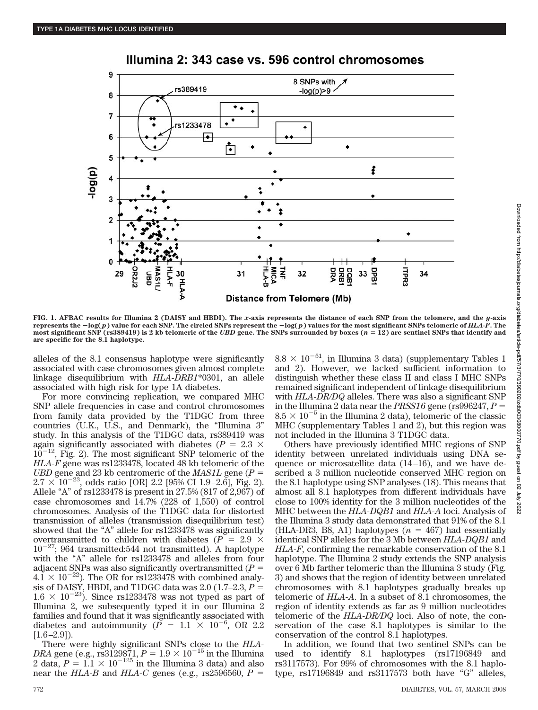

Illumina 2: 343 case vs. 596 control chromosomes

**FIG. 1. AFBAC results for Illumina 2 (DAISY and HBDI). The** *x***-axis represents the distance of each SNP from the telomere, and the** *y***-axis represents the log(***p***) value for each SNP. The circled SNPs represent the log(***p***) values for the most significant SNPs telomeric of** *HLA-F***. The most significant SNP (rs389419) is 2 kb telomeric of the** *UBD* **gene. The SNPs surrounded by boxes (***n* - **12) are sentinel SNPs that identify and are specific for the 8.1 haplotype.**

alleles of the 8.1 consensus haplotype were significantly associated with case chromosomes given almost complete linkage disequilibrium with *HLA-DRB1*\*0301, an allele associated with high risk for type 1A diabetes.

For more convincing replication, we compared MHC SNP allele frequencies in case and control chromosomes from family data provided by the T1DGC from three countries (U.K., U.S., and Denmark), the "Illumina 3" study. In this analysis of the T1DGC data, rs389419 was again significantly associated with diabetes ( $P = 2.3 \times$  $10^{-12}$ , Fig. 2). The most significant SNP telomeric of the *HLA-F* gene was rs1233478, located 48 kb telomeric of the *UBD* gene and 23 kb centromeric of the *MAS1L* gene (*P*  $2.7 \times 10^{-23}$ , odds ratio [OR] 2.2 [95% CI 1.9–2.6], Fig. 2). Allele "A" of rs1233478 is present in 27.5% (817 of 2,967) of case chromosomes and 14.7% (228 of 1,550) of control chromosomes. Analysis of the T1DGC data for distorted transmission of alleles (transmission disequilibrium test) showed that the "A" allele for rs1233478 was significantly overtransmitted to children with diabetes ( $P = 2.9 \times$  $10^{-27}$ ; 964 transmitted:544 not transmitted). A haplotype with the "A" allele for rs1233478 and alleles from four adjacent SNPs was also significantly overtransmitted (*P*  $4.1 \times 10^{-22}$ ). The OR for rs1233478 with combined analysis of DAISY, HBDI, and T1DGC data was 2.0 (1.7–2.3,  $P =$  $1.6 \times 10^{-23}$ . Since rs1233478 was not typed as part of Illumina 2, we subsequently typed it in our Illumina 2 families and found that it was significantly associated with diabetes and autoimmunity ( $\overline{P}$  = 1.1  $\times$  10<sup>-6</sup>, OR 2.2  $[1.6–2.9]$ ).

There were highly significant SNPs close to the *HLA-DRA* gene (e.g., rs3129871,  $P = 1.9 \times 10^{-15}$  in the Illumina 2 data,  $P = 1.1 \times 10^{-125}$  in the Illumina 3 data) and also near the *HLA-B* and *HLA-C* genes (e.g., rs2596560,  $P =$ 

 $8.8 \times 10^{-51}$ , in Illumina 3 data) (supplementary Tables 1 and 2). However, we lacked sufficient information to distinguish whether these class II and class I MHC SNPs remained significant independent of linkage disequilibrium with *HLA-DR/DQ* alleles. There was also a significant SNP in the Illumina 2 data near the *PRSS16* gene (rs996247, *P*  $8.5 \times 10^{-5}$  in the Illumina 2 data), telomeric of the classic MHC (supplementary Tables 1 and 2), but this region was not included in the Illumina 3 T1DGC data.

Others have previously identified MHC regions of SNP identity between unrelated individuals using DNA sequence or microsatellite data (14–16), and we have described a 3 million nucleotide conserved MHC region on the 8.1 haplotype using SNP analyses (18). This means that almost all 8.1 haplotypes from different individuals have close to 100% identity for the 3 million nucleotides of the MHC between the *HLA-DQB1* and *HLA-A* loci. Analysis of the Illumina 3 study data demonstrated that 91% of the 8.1 (HLA-DR3, B8, A1) haplotypes  $(n = 467)$  had essentially identical SNP alleles for the 3 Mb between *HLA-DQB1* and *HLA-F*, confirming the remarkable conservation of the 8.1 haplotype. The Illumina 2 study extends the SNP analysis over 6 Mb farther telomeric than the Illumina 3 study (Fig. 3) and shows that the region of identity between unrelated chromosomes with 8.1 haplotypes gradually breaks up telomeric of *HLA-A*. In a subset of 8.1 chromosomes, the region of identity extends as far as 9 million nucleotides telomeric of the *HLA-DR/DQ* loci. Also of note, the conservation of the case 8.1 haplotypes is similar to the conservation of the control 8.1 haplotypes.

In addition, we found that two sentinel SNPs can be used to identify 8.1 haplotypes (rs17196849 and rs3117573). For 99% of chromosomes with the 8.1 haplotype, rs17196849 and rs3117573 both have "G" alleles,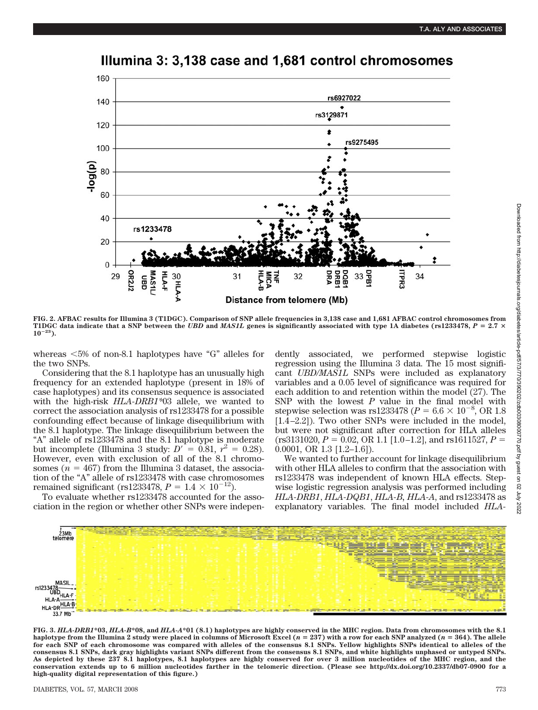

# Illumina 3: 3,138 case and 1,681 control chromosomes

**FIG. 2. AFBAC results for Illumina 3 (T1DGC). Comparison of SNP allele frequencies in 3,138 case and 1,681 AFBAC control chromosomes from T1DGC data indicate that a SNP between the** *UBD* **and** *MAS1L* **genes is significantly associated with type 1A diabetes (rs1233478,** *P* - **2.7 1023).**

whereas  $<5\%$  of non-8.1 haplotypes have "G" alleles for the two SNPs.

Considering that the 8.1 haplotype has an unusually high frequency for an extended haplotype (present in 18% of case haplotypes) and its consensus sequence is associated with the high-risk *HLA-DRB1\**03 allele, we wanted to correct the association analysis of rs1233478 for a possible confounding effect because of linkage disequilibrium with the 8.1 haplotype. The linkage disequilibrium between the "A" allele of rs1233478 and the 8.1 haplotype is moderate but incomplete (Illumina 3 study:  $D' = 0.81$ ,  $r^2 = 0.28$ ). However, even with exclusion of all of the 8.1 chromosomes ( $n = 467$ ) from the Illumina 3 dataset, the association of the "A" allele of rs1233478 with case chromosomes remained significant (rs1233478,  $P = 1.4 \times 10^{-12}$ ).

To evaluate whether rs1233478 accounted for the association in the region or whether other SNPs were independently associated, we performed stepwise logistic regression using the Illumina 3 data. The 15 most significant *UBD/MAS1L* SNPs were included as explanatory variables and a 0.05 level of significance was required for each addition to and retention within the model (27). The SNP with the lowest *P* value in the final model with stepwise selection was rs1233478 ( $P = 6.6 \times 10^{-8}$ , OR 1.8 [1.4–2.2]). Two other SNPs were included in the model, but were not significant after correction for HLA alleles  $(rs3131020, P = 0.02, OR 1.1 [1.0–1.2], and rs1611527, P =$ 0.0001, OR 1.3 [1.2–1.6]).

We wanted to further account for linkage disequilibrium with other HLA alleles to confirm that the association with rs1233478 was independent of known HLA effects. Stepwise logistic regression analysis was performed including *HLA-DRB1*, *HLA-DQB1*, *HLA-B, HLA-A*, and rs1233478 as explanatory variables. The final model included *HLA-*



**FIG. 3.** *HLA-DRB1***\*03,** *HLA-B***\*08, and** *HLA-A***\*01 (8.1) haplotypes are highly conserved in the MHC region. Data from chromosomes with the 8.1 haplotype from the Illumina 2 study were placed in columns of Microsoft Excel (***n* - **237) with a row for each SNP analyzed (***n* - **364). The allele for each SNP of each chromosome was compared with alleles of the consensus 8.1 SNPs. Yellow highlights SNPs identical to alleles of the consensus 8.1 SNPs, dark gray highlights variant SNPs different from the consensus 8.1 SNPs, and white highlights unphased or untyped SNPs. As depicted by these 237 8.1 haplotypes, 8.1 haplotypes are highly conserved for over 3 million nucleotides of the MHC region, and the conservation extends up to 6 million nucleotides farther in the telomeric direction. (Please see http://dx.doi.org/10.2337/db07-0900 for a high-quality digital representation of this figure.)**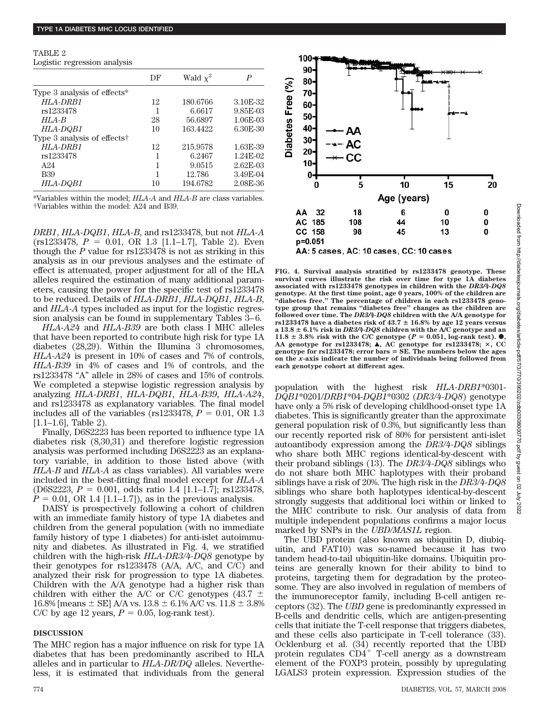TABLE 2 Logistic regression analysis

|                                         | DF | Wald $\chi^2$ | P             |
|-----------------------------------------|----|---------------|---------------|
| Type 3 analysis of effects*             |    |               |               |
| HLA-DRR1                                | 12 | 180.6766      | 3.10E-32      |
| rs1233478                               |    | 6.6617        | 9.85E-03      |
| $HLA-B$                                 | 28 | 56.6897       | 1.06E-03      |
| HLA-DQB1                                | 10 | 163.4422      | 6.30E-30      |
| Type 3 analysis of effects <sup>†</sup> |    |               |               |
| HLA-DRB1                                | 12 | 215.9578      | 1.63E-39      |
| rs1233478                               |    | 6.2467        | $1.24E-02$    |
| A <sub>24</sub>                         |    | 9.0515        | $2.62E - 0.3$ |
| <b>B39</b>                              |    | 12.786        | 3.49E-04      |
| HLA-DQB1                                | 10 | 194.6782      | 2.08E-36      |
|                                         |    |               |               |

\*Variables within the model; *HLA-A* and *HLA-B* are class variables. †Variables within the model: A24 and B39.

*DRB1*, *HLA-DQB1*, *HLA-B*, and rs1233478, but not *HLA-A*  $(rs1233478, P = 0.01, OR 1.3 [1.1-1.7], Table 2).$  Even though the *P* value for rs1233478 is not as striking in this analysis as in our previous analyses and the estimate of effect is attenuated, proper adjustment for all of the HLA alleles required the estimation of many additional parameters, causing the power for the specific test of rs1233478 to be reduced. Details of *HLA-DRB1*, *HLA-DQB1*, *HLA-B*, and *HLA-A* types included as input for the logistic regression analysis can be found in supplementary Tables 3–6.

*HLA-A24* and *HLA-B39* are both class I MHC alleles that have been reported to contribute high risk for type 1A diabetes (28,29). Within the Illumina 3 chromosomes, *HLA-A24* is present in 10% of cases and 7% of controls, *HLA-B39* in 4% of cases and 1% of controls, and the rs1233478 "A" allele in 28% of cases and 15% of controls. We completed a stepwise logistic regression analysis by analyzing *HLA-DRB1*, *HLA-DQB1, HLA-B39, HLA-A24*, and rs1233478 as explanatory variables. The final model includes all of the variables (rs1233478,  $P = 0.01$ , OR 1.3 [1.1–1.6], Table 2).

Finally, D6S2223 has been reported to influence type 1A diabetes risk (8,30,31) and therefore logistic regression analysis was performed including D6S2223 as an explanatory variable, in addition to those listed above (with *HLA-B* and *HLA-A* as class variables). All variables were included in the best-fitting final model except for *HLA-A*  $(D6S2223, P = 0.001, odd$  ratio 1.4 [1.1–1.7]; rs1233478,  $P = 0.01$ , OR 1.4 [1.1–1.7]), as in the previous analysis.

DAISY is prospectively following a cohort of children with an immediate family history of type 1A diabetes and children from the general population (with no immediate family history of type 1 diabetes) for anti-islet autoimmunity and diabetes. As illustrated in Fig. 4, we stratified children with the high-risk *HLA-DR3/4-DQ8* genotype by their genotypes for rs1233478 (A/A, A/C, and C/C) and analyzed their risk for progression to type 1A diabetes. Children with the A/A genotype had a higher risk than children with either the A/C or C/C genotypes (43.7  $\pm$ 16.8% [means  $\pm$  SE] A/A vs. 13.8  $\pm$  6.1% A/C vs. 11.8  $\pm$  3.8% C/C by age 12 years,  $P = 0.05$ , log-rank test).

## **DISCUSSION**

The MHC region has a major influence on risk for type 1A diabetes that has been predominantly ascribed to HLA alleles and in particular to *HLA-DR/DQ* alleles. Nevertheless, it is estimated that individuals from the general



AA: 5 cases, AC: 10 cases, CC: 10 cases

**FIG. 4. Survival analysis stratified by rs1233478 genotype. These survival curves illustrate the risk over time for type 1A diabetes associated with rs1233478 genotypes in children with the** *DR3/4-DQ8* **genotype. At the first time point, age 0 years, 100% of the children are "diabetes free." The percentage of children in each rs1233478 genotype group that remains "diabetes free" changes as the children are followed over time. The** *DR3/4-DQ8* **children with the A/A genotype for**  $rs1233478$  have a diabetes risk of  $43.7 \pm 16.8\%$  by age 12 years versus **a 13.8 6.1% risk in** *DR3/4-DQ8* **children with the A/C genotype and an 11.8**  $\pm$  3.8% risk with the C/C genotype ( $P = 0.051$ , log-rank test).  $\bullet$ ,<br>AA genotype for rs1233478;  $\blacktriangle$ , AC genotype for rs1233478;  $\times$ , CC **genotype for rs1233478; error bars** - **SE. The numbers below the ages on the** *x***-axis indicate the number of individuals being followed from each genotype cohort at different ages.**

population with the highest risk *HLA-DRB1*\*0301- *DQB1*\*0201/*DRB1*\*04-*DQB1*\*0302 (*DR3/4-DQ8*) genotype have only a 5% risk of developing childhood-onset type 1A diabetes. This is significantly greater than the approximate general population risk of 0.3%, but significantly less than our recently reported risk of 80% for persistent anti-islet autoantibody expression among the *DR3/4-DQ8* siblings who share both MHC regions identical-by-descent with their proband siblings (13). The *DR3/4-DQ8* siblings who do not share both MHC haplotypes with their proband siblings have a risk of 20%. The high risk in the *DR3/4-DQ8* siblings who share both haplotypes identical-by-descent strongly suggests that additional loci within or linked to the MHC contribute to risk. Our analysis of data from multiple independent populations confirms a major locus marked by SNPs in the *UBD/MAS1L* region.

The UBD protein (also known as ubiquitin D, diubiquitin, and FAT10) was so-named because it has two tandem head-to-tail ubiquitin-like domains. Ubiquitin proteins are generally known for their ability to bind to proteins, targeting them for degradation by the proteosome. They are also involved in regulation of members of the immunoreceptor family, including B-cell antigen receptors (32). The *UBD* gene is predominantly expressed in B-cells and dendritic cells, which are antigen-presenting cells that initiate the T-cell response that triggers diabetes, and these cells also participate in T-cell tolerance (33). Ocklenburg et al. (34) recently reported that the UBD protein regulates  $CD4^+$  T-cell anergy as a downstream element of the FOXP3 protein, possibly by upregulating LGALS3 protein expression. Expression studies of the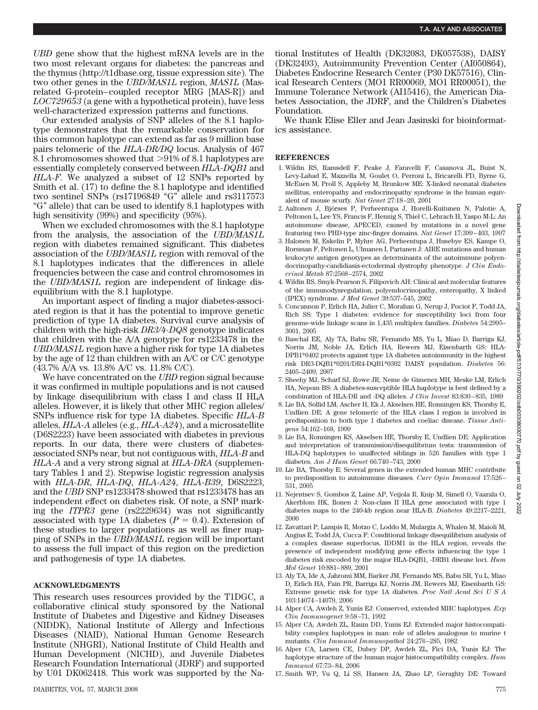*UBD* gene show that the highest mRNA levels are in the two most relevant organs for diabetes: the pancreas and the thymus (http://t1dbase.org, tissue expression site). The two other genes in the *UBD/MAS1L* region, *MAS1L* (Masrelated G-protein–coupled receptor MRG [MAS-R]) and *LOC729653* (a gene with a hypothetical protein), have less well-characterized expression patterns and functions.

Our extended analysis of SNP alleles of the 8.1 haplotype demonstrates that the remarkable conservation for this common haplotype can extend as far as 9 million base pairs telomeric of the *HLA-DR/DQ* locus. Analysis of 467 8.1 chromosomes showed that  $>91\%$  of 8.1 haplotypes are essentially completely conserved between *HLA-DQB1* and *HLA-F*. We analyzed a subset of 12 SNPs reported by Smith et al. (17) to define the 8.1 haplotype and identified two sentinel SNPs (rs17196849 "G" allele and rs3117573 "G" allele) that can be used to identify 8.1 haplotypes with high sensitivity (99%) and specificity (95%).

When we excluded chromosomes with the 8.1 haplotype from the analysis, the association of the *UBD/MAS1L* region with diabetes remained significant. This diabetes association of the *UBD/MAS1L* region with removal of the 8.1 haplotypes indicates that the differences in allele frequencies between the case and control chromosomes in the *UBD/MAS1L* region are independent of linkage disequilibrium with the 8.1 haplotype.

An important aspect of finding a major diabetes-associated region is that it has the potential to improve genetic prediction of type 1A diabetes. Survival curve analysis of children with the high-risk *DR3/4-DQ8* genotype indicates that children with the A/A genotype for rs1233478 in the *UBD/MAS1L* region have a higher risk for type 1A diabetes by the age of 12 than children with an A/C or C/C genotype (43.7% A/A vs. 13.8% A/C vs. 11.8% C/C).

We have concentrated on the *UBD* region signal because it was confirmed in multiple populations and is not caused by linkage disequilibrium with class I and class II HLA alleles. However, it is likely that other MHC region alleles/ SNPs influence risk for type 1A diabetes. Specific *HLA-B* alleles, *HLA-A* alleles (e.g., *HLA-A24*), and a microsatellite (D6S2223) have been associated with diabetes in previous reports. In our data, there were clusters of diabetesassociated SNPs near, but not contiguous with, *HLA-B* and *HLA-A* and a very strong signal at *HLA-DRA* (supplementary Tables 1 and 2). Stepwise logistic regression analysis with *HLA-DR*, *HLA-DQ*, *HLA-A24*, *HLA-B39*, D6S2223, and the *UBD* SNP rs1233478 showed that rs1233478 has an independent effect on diabetes risk. Of note, a SNP marking the *ITPR3* gene (rs2229634) was not significantly associated with type 1A diabetes  $(P = 0.4)$ . Extension of these studies to larger populations as well as finer mapping of SNPs in the *UBD/MAS1L* region will be important to assess the full impact of this region on the prediction and pathogenesis of type 1A diabetes.

## **ACKNOWLEDGMENTS**

This research uses resources provided by the T1DGC, a collaborative clinical study sponsored by the National Institute of Diabetes and Digestive and Kidney Diseases (NIDDK), National Institute of Allergy and Infectious Diseases (NIAID), National Human Genome Research Institute (NHGRI), National Institute of Child Health and Human Development (NICHD), and Juvenile Diabetes Research Foundation International (JDRF) and supported by U01 DK062418. This work was supported by the National Institutes of Health (DK32083, DK057538), DAISY (DK32493), Autoimmunity Prevention Center (AI050864), Diabetes Endocrine Research Center (P30 DK57516), Clinical Research Centers (MO1 RR00069, MO1 RR00051), the Immune Tolerance Network (AI15416), the American Diabetes Association, the JDRF, and the Children's Diabetes Foundation.

We thank Elise Eller and Jean Jasinski for bioinformatics assistance.

### **REFERENCES**

- 1. Wildin RS, Ramsdell F, Peake J, Faravelli F, Casanova JL, Buist N, Levy-Lahad E, Mazzella M, Goulet O, Perroni L, Bricarelli FD, Byrne G, McEuen M, Proll S, Appleby M, Brunkow ME: X-linked neonatal diabetes mellitus, enteropathy and endocrinopathy syndrome is the human equivalent of mouse scurfy. *Nat Genet* 27:18–20, 2001
- 2. Aaltonen J, Björses P, Perheentupa J, Horelli-Kuitunen N, Palotie A, Peltonen L, Lee YS, Francis F, Hennig S, Thiel C, Lehrach H, Yaspo M-L: An autoimmune disease, APECED, caused by mutations in a novel gene featuring two PHD-type zinc-finger domains. *Nat Genet* 17:399–403, 1997
- 3. Halonen M, Eskelin P, Myhre AG, Perheentupa J, Husebye ES, Kampe O, Rorsman F, Peltonen L, Ulmanen I, Partanen J: AIRE mutations and human leukocyte antigen genotypes as determinants of the autoimmune polyendocrinopathy-candidiasis-ectodermal dystrophy phenotype. *J Clin Endocrinol Metab* 87:2568–2574, 2002
- 4. Wildin RS, Smyk-Pearson S, Filipovich AH: Clinical and molecular features of the immunodysregulation, polyendocrinopathy, enteropathy, X linked (IPEX) syndrome. *J Med Genet* 39:537–545, 2002
- 5. Concannon P, Erlich HA, Julier C, Morahan G, Nerup J, Pociot F, Todd JA, Rich SS: Type 1 diabetes: evidence for susceptibility loci from four genome-wide linkage scans in 1,435 multiplex families. *Diabetes* 54:2995– 3001, 2005
- 6. Baschal EE, Aly TA, Babu SR, Fernando MS, Yu L, Miao D, Barriga KJ, Norris JM, Noble JA, Erlich HA, Rewers MJ, Eisenbarth GS: HLA-DPB1\*0402 protects against type 1A diabetes autoimmunity in the highest risk DR3-DQB1\*0201/DR4-DQB1\*0302 DAISY population. *Diabetes* 56: 2405–2409, 2007
- 7. Sheehy MJ, Scharf SJ, Rowe JR, Neme de Gimenez MH, Meske LM, Erlich HA, Nepom BS: A diabetes-susceptible HLA haplotype is best defined by a combination of HLA-DR and -DQ alleles. *J Clin Invest* 83:830–835, 1989
- 8. Lie BA, Sollid LM, Ascher H, Ek J, Akselsen HE, Ronningen KS, Thorsby E, Undlien DE: A gene telomeric of the HLA class I region is involved in predisposition to both type 1 diabetes and coeliac disease. *Tissue Antigens* 54:162–168, 1999
- 9. Lie BA, Ronningen KS, Akselsen HE, Thorsby E, Undlien DE: Application and interpretation of transmission/disequilibrium tests: transmission of HLA-DQ haplotypes to unaffected siblings in 526 families with type 1 diabetes. *Am J Hum Genet* 66:740–743, 2000
- 10. Lie BA, Thorsby E: Several genes in the extended human MHC contribute to predisposition to autoimmune diseases. *Curr Opin Immunol* 17:526– 531, 2005
- 11. Nejentsev S, Gombos Z, Laine AP, Veijola R, Knip M, Simell O, Vaarala O, Akerblom HK, Ilonen J: Non-class II HLA gene associated with type 1 diabetes maps to the 240-kb region near HLA-B. *Diabetes* 49:2217–2221, 2000
- 12. Zavattari P, Lampis R, Motzo C, Loddo M, Mulargia A, Whalen M, Maioli M, Angius E, Todd JA, Cucca F: Conditional linkage disequilibrium analysis of a complex disease superlocus, IDDM1 in the HLA region, reveals the presence of independent modifying gene effects influencing the type 1 diabetes risk encoded by the major HLA-DQB1, -DRB1 disease loci. *Hum Mol Genet* 10:881–889, 2001
- 13. Aly TA, Ide A, Jahromi MM, Barker JM, Fernando MS, Babu SR, Yu L, Miao D, Erlich HA, Fain PR, Barriga KJ, Norris JM, Rewers MJ, Eisenbarth GS: Extreme genetic risk for type 1A diabetes. *Proc Natl Acad SciUSA* 103:14074–14079, 2006
- 14. Alper CA, Awdeh Z, Yunis EJ: Conserved, extended MHC haplotypes. *Exp Clin Immunogenet* 9:58–71, 1992
- 15. Alper CA, Awdeh ZL, Raum DD, Yunis EJ: Extended major histocompatibility complex haplotypes in man: role of alleles analogous to murine t mutants. *Clin Immunol Immunopathol* 24:276–285, 1982
- 16. Alper CA, Larsen CE, Dubey DP, Awdeh ZL, Fici DA, Yunis EJ: The haplotype structure of the human major histocompatibility complex. *Hum Immunol* 67:73–84, 2006
- 17. Smith WP, Vu Q, Li SS, Hansen JA, Zhao LP, Geraghty DE: Toward